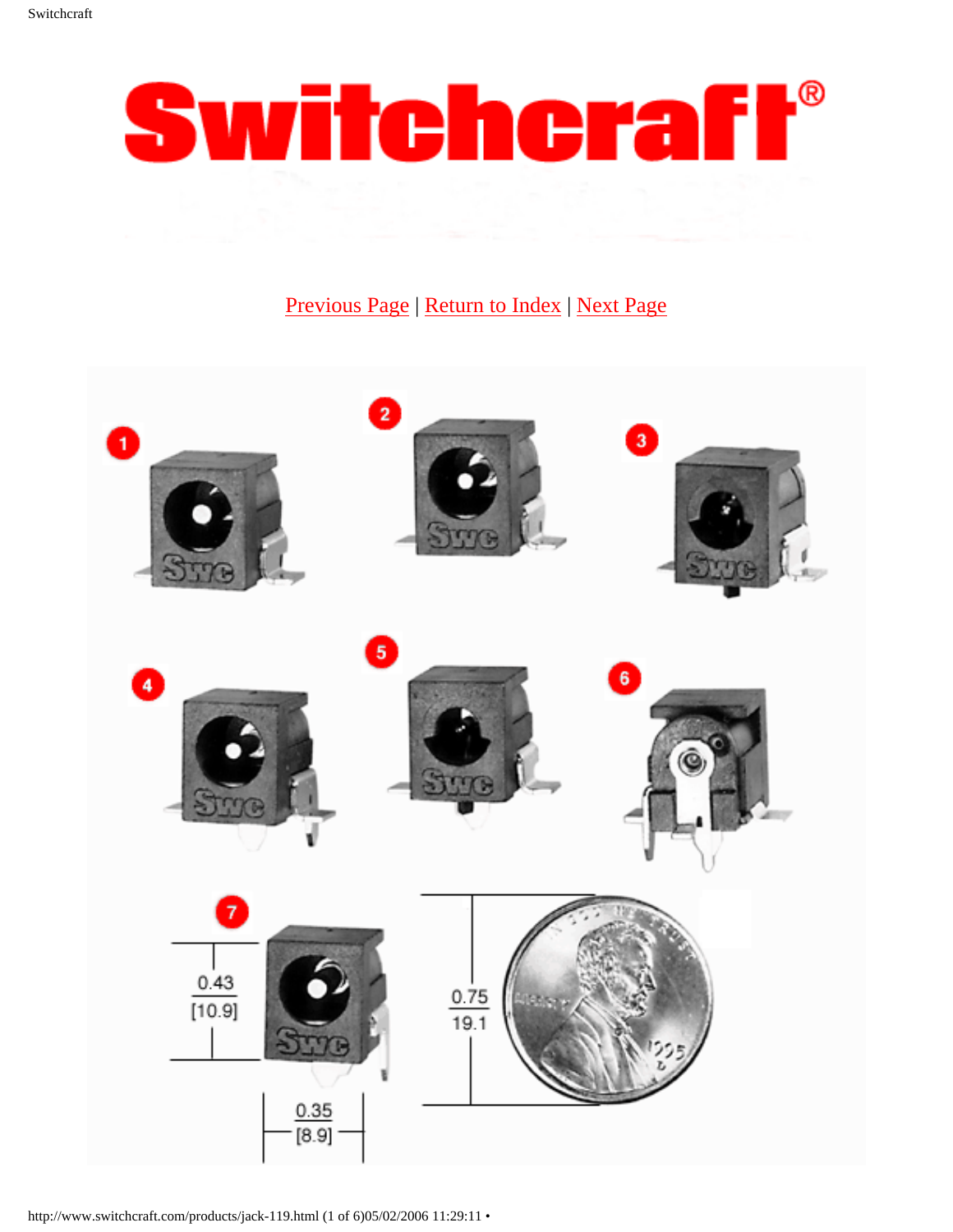

# [Previous Page](http://www.switchcraft.com/products/536.html) | [Return to Index](http://www.switchcraft.com/products/jack-search.html) | [Next Page](http://www.switchcraft.com/products/547.html)



http://www.switchcraft.com/products/jack-119.html (1 of 6)05/02/2006 11:29:11 •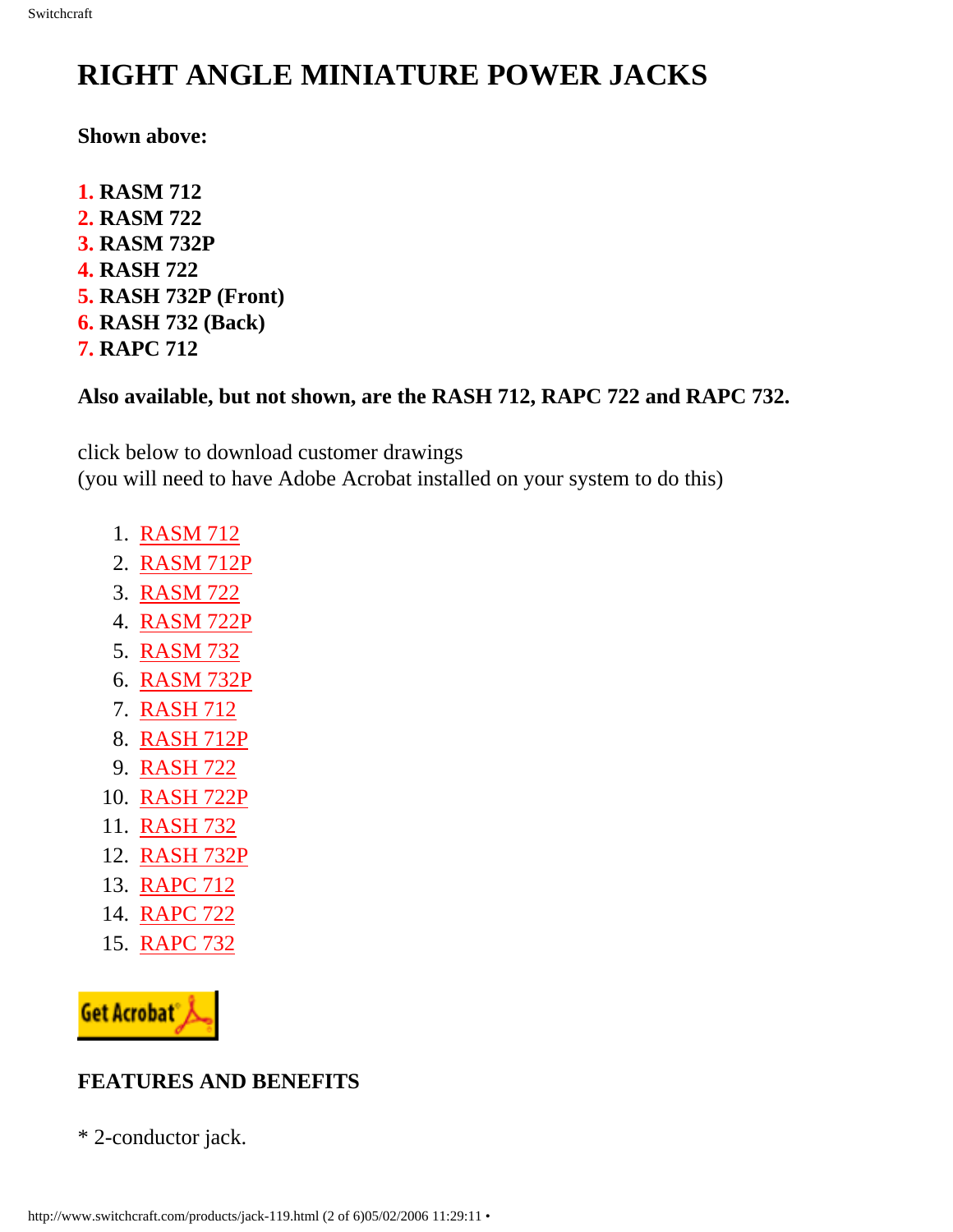# **RIGHT ANGLE MINIATURE POWER JACKS**

#### **Shown above:**

- **1. RASM 712**
- **2. RASM 722**
- **3. RASM 732P**
- **4. RASH 722**
- **5. RASH 732P (Front)**
- **6. RASH 732 (Back)**
- **7. RAPC 712**

# **Also available, but not shown, are the RASH 712, RAPC 722 and RAPC 732.**

click below to download customer drawings (you will need to have Adobe Acrobat installed on your system to do this)

- 1. [RASM 712](http://www.switchcraft.com/products/pdf_files/rasm712_cd.pdf)
- 2. [RASM 712P](http://www.switchcraft.com/products/pdf_files/rasm712p_cd.pdf)
- 3. [RASM 722](http://www.switchcraft.com/products/pdf_files/rasm722_cd.pdf)
- 4. [RASM 722P](http://www.switchcraft.com/products/pdf_files/rasm722p_cd.pdf)
- 5. [RASM 732](http://www.switchcraft.com/products/pdf_files/rasm732_cd.pdf)
- 6. [RASM 732P](http://www.switchcraft.com/products/pdf_files/rasm732p_cd.pdf)
- 7. [RASH 712](http://www.switchcraft.com/products/pdf_files/rash712_cd.pdf)
- 8. [RASH 712P](http://www.switchcraft.com/products/pdf_files/rash712p_cd.pdf)
- 9. [RASH 722](http://www.switchcraft.com/products/pdf_files/rash722_cd.pdf)
- 10. [RASH 722P](http://www.switchcraft.com/products/pdf_files/rash722p_cd.pdf)
- 11. [RASH 732](http://www.switchcraft.com/products/pdf_files/rash732_cd.pdf)
- 12. [RASH 732P](http://www.switchcraft.com/products/pdf_files/rash732p_cd.pdf)
- 13. [RAPC 712](http://www.switchcraft.com/products/pdf_files/rapc712_cd.pdf)
- 14. [RAPC 722](http://www.switchcraft.com/products/pdf_files/rapc722_cd.pdf)
- 15. [RAPC 732](http://www.switchcraft.com/products/pdf_files/rapc732_cd.pdf)



# **FEATURES AND BENEFITS**

\* 2-conductor jack.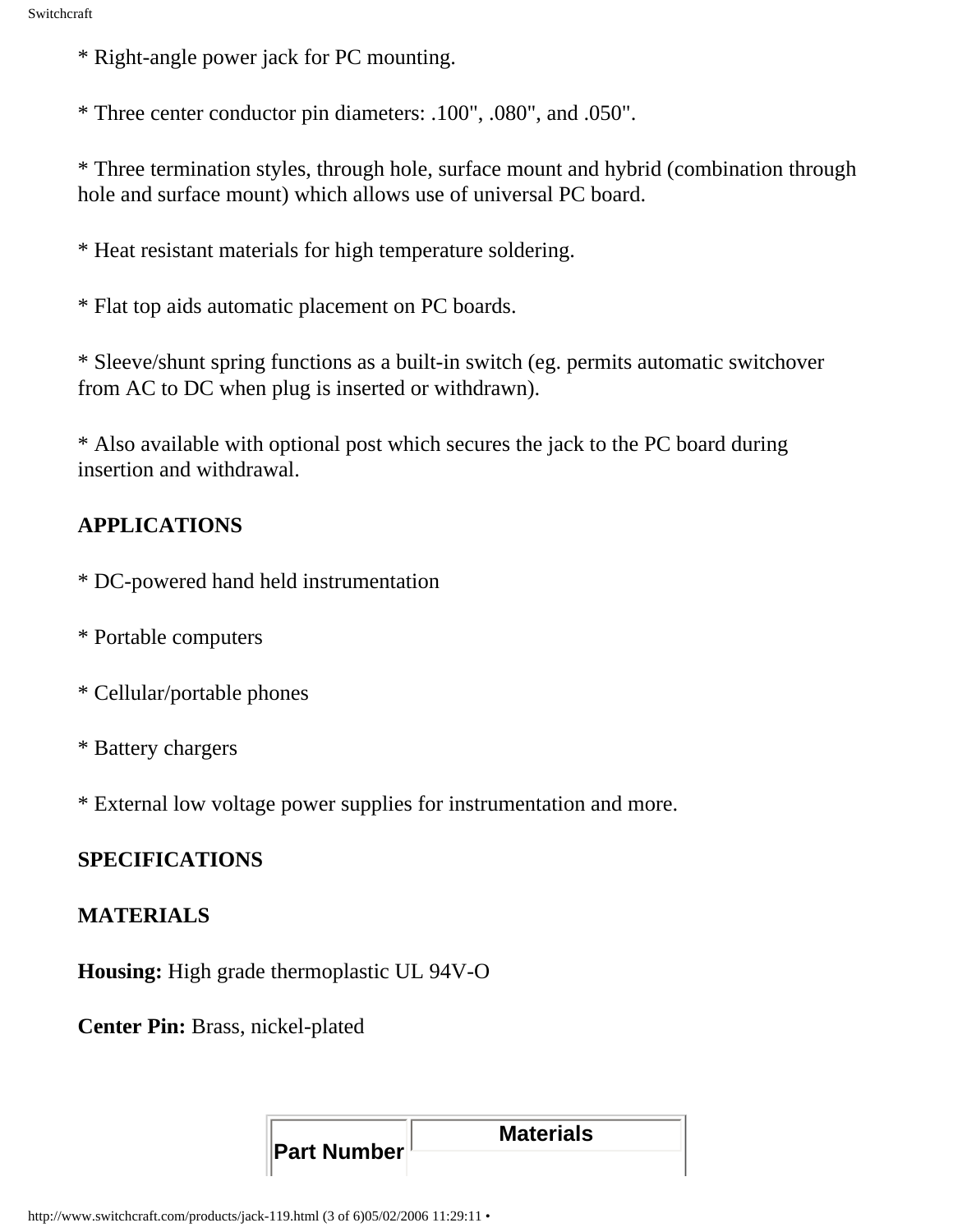\* Right-angle power jack for PC mounting.

\* Three center conductor pin diameters: .100", .080", and .050".

\* Three termination styles, through hole, surface mount and hybrid (combination through hole and surface mount) which allows use of universal PC board.

\* Heat resistant materials for high temperature soldering.

\* Flat top aids automatic placement on PC boards.

\* Sleeve/shunt spring functions as a built-in switch (eg. permits automatic switchover from AC to DC when plug is inserted or withdrawn).

\* Also available with optional post which secures the jack to the PC board during insertion and withdrawal.

# **APPLICATIONS**

- \* DC-powered hand held instrumentation
- \* Portable computers
- \* Cellular/portable phones
- \* Battery chargers

\* External low voltage power supplies for instrumentation and more.

# **SPECIFICATIONS**

### **MATERIALS**

**Housing:** High grade thermoplastic UL 94V-O

**Center Pin:** Brass, nickel-plated

|  | <b>Part Number</b> | <b>Materials</b> |
|--|--------------------|------------------|
|  |                    |                  |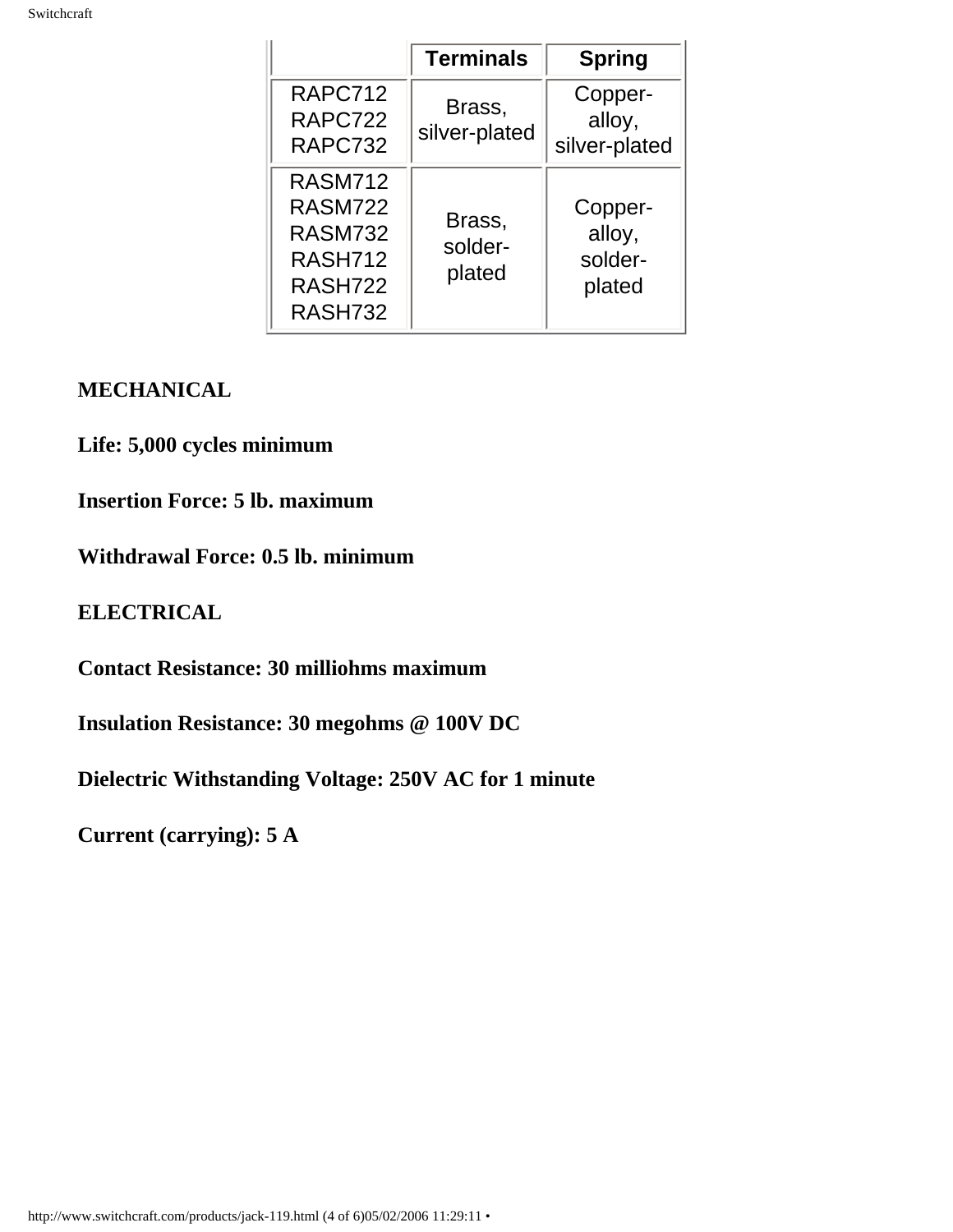|                                                                                            | <b>Terminals</b>            | <b>Spring</b>                          |
|--------------------------------------------------------------------------------------------|-----------------------------|----------------------------------------|
| RAPC712<br>RAPC722<br>RAPC732                                                              | Brass,<br>silver-plated     | Copper-<br>alloy,<br>silver-plated     |
| <b>RASM712</b><br><b>RASM722</b><br><b>RASM732</b><br><b>RASH712</b><br>RASH722<br>RASH732 | Brass,<br>solder-<br>plated | Copper-<br>alloy,<br>solder-<br>plated |

## **MECHANICAL**

**Life: 5,000 cycles minimum**

**Insertion Force: 5 lb. maximum** 

## **Withdrawal Force: 0.5 lb. minimum**

### **ELECTRICAL**

**Contact Resistance: 30 milliohms maximum**

**Insulation Resistance: 30 megohms @ 100V DC**

**Dielectric Withstanding Voltage: 250V AC for 1 minute**

**Current (carrying): 5 A**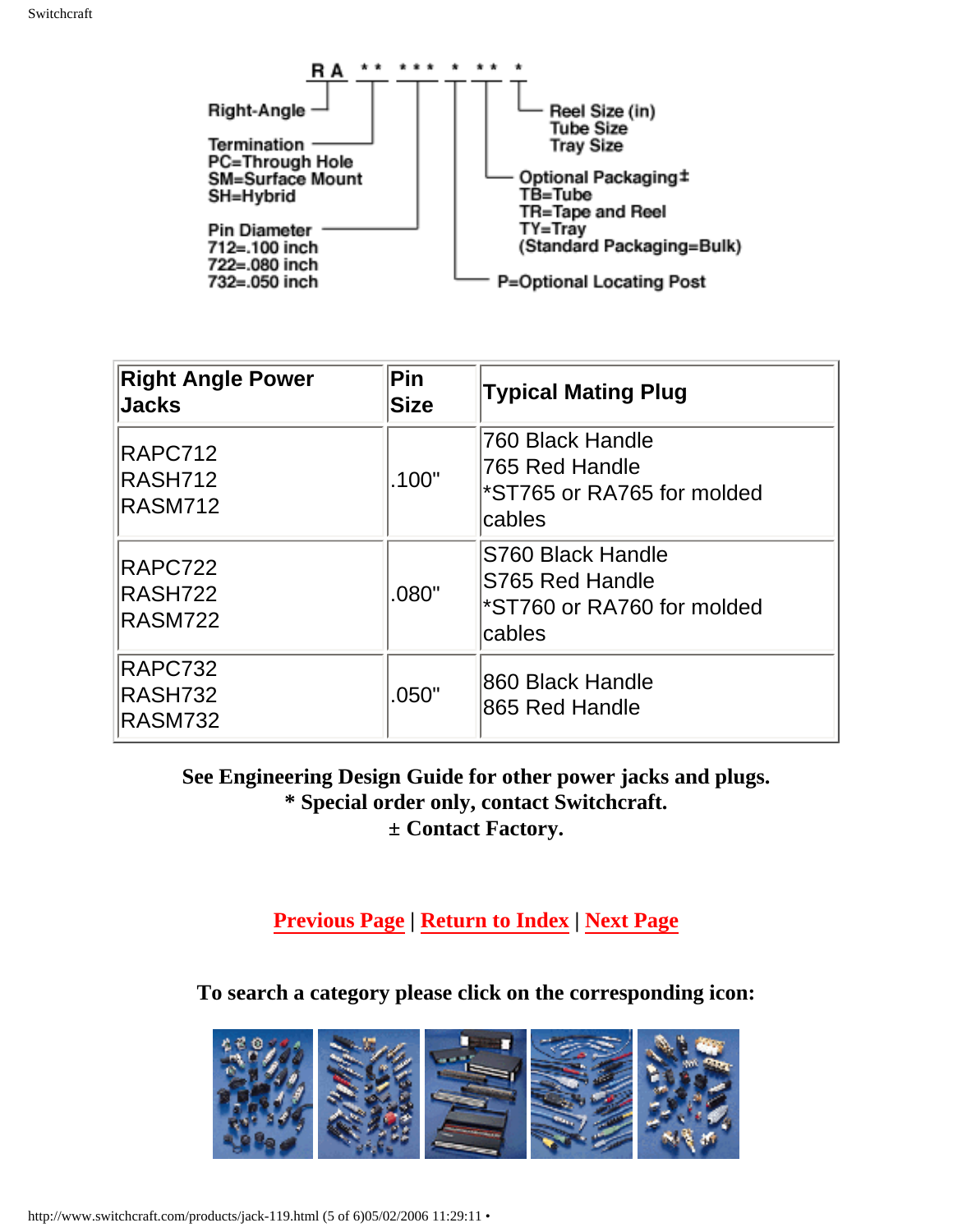

| <b>Right Angle Power</b><br><b>Jacks</b>    | Pin<br><b>Size</b> | <b>Typical Mating Plug</b>                                                   |
|---------------------------------------------|--------------------|------------------------------------------------------------------------------|
| RAPC712<br><b>RASH712</b><br><b>RASM712</b> | .100"              | 760 Black Handle<br>765 Red Handle<br>*ST765 or RA765 for molded<br>cables   |
| RAPC722<br>RASH722<br><b>RASM722</b>        | .080"              | S760 Black Handle<br>S765 Red Handle<br>*ST760 or RA760 for molded<br>cables |
| RAPC732<br><b>RASH732</b><br><b>RASM732</b> | .050"              | 860 Black Handle<br>865 Red Handle                                           |

**See Engineering Design Guide for other power jacks and plugs. \* Special order only, contact Switchcraft. ± Contact Factory.**

**[Previous Page](http://www.switchcraft.com/products/536.html) | [Return to Index](http://www.switchcraft.com/products/jack-search.html) | [Next Page](http://www.switchcraft.com/products/547.html)**

**To search a category please click on the corresponding icon:**



http://www.switchcraft.com/products/jack-119.html (5 of 6)05/02/2006 11:29:11 •